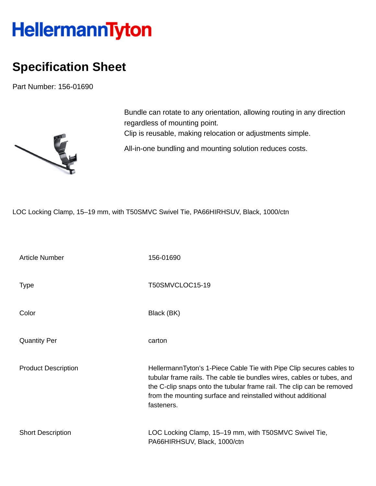## HellermannTyton

## **Specification Sheet**

Part Number: 156-01690



Bundle can rotate to any orientation, allowing routing in any direction regardless of mounting point. Clip is reusable, making relocation or adjustments simple. All-in-one bundling and mounting solution reduces costs.

LOC Locking Clamp, 15–19 mm, with T50SMVC Swivel Tie, PA66HIRHSUV, Black, 1000/ctn

| <b>Article Number</b>      | 156-01690                                                                                                                                                                                                                                                                                             |
|----------------------------|-------------------------------------------------------------------------------------------------------------------------------------------------------------------------------------------------------------------------------------------------------------------------------------------------------|
| <b>Type</b>                | T50SMVCLOC15-19                                                                                                                                                                                                                                                                                       |
| Color                      | Black (BK)                                                                                                                                                                                                                                                                                            |
| <b>Quantity Per</b>        | carton                                                                                                                                                                                                                                                                                                |
| <b>Product Description</b> | HellermannTyton's 1-Piece Cable Tie with Pipe Clip secures cables to<br>tubular frame rails. The cable tie bundles wires, cables or tubes, and<br>the C-clip snaps onto the tubular frame rail. The clip can be removed<br>from the mounting surface and reinstalled without additional<br>fasteners. |
| <b>Short Description</b>   | LOC Locking Clamp, 15–19 mm, with T50SMVC Swivel Tie,<br>PA66HIRHSUV, Black, 1000/ctn                                                                                                                                                                                                                 |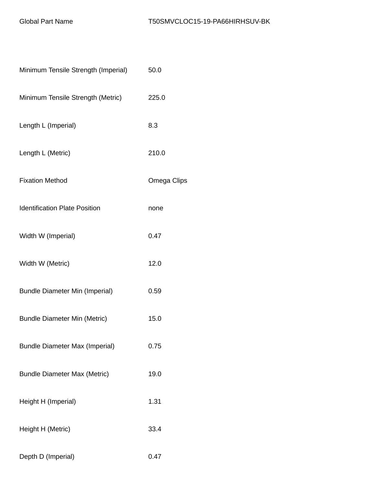| Minimum Tensile Strength (Imperial)   | 50.0        |
|---------------------------------------|-------------|
| Minimum Tensile Strength (Metric)     | 225.0       |
| Length L (Imperial)                   | 8.3         |
| Length L (Metric)                     | 210.0       |
| <b>Fixation Method</b>                | Omega Clips |
| <b>Identification Plate Position</b>  | none        |
| Width W (Imperial)                    | 0.47        |
| Width W (Metric)                      | 12.0        |
| <b>Bundle Diameter Min (Imperial)</b> | 0.59        |
| <b>Bundle Diameter Min (Metric)</b>   | 15.0        |
| <b>Bundle Diameter Max (Imperial)</b> | 0.75        |
| <b>Bundle Diameter Max (Metric)</b>   | 19.0        |
| Height H (Imperial)                   | 1.31        |
| Height H (Metric)                     | 33.4        |
| Depth D (Imperial)                    | 0.47        |